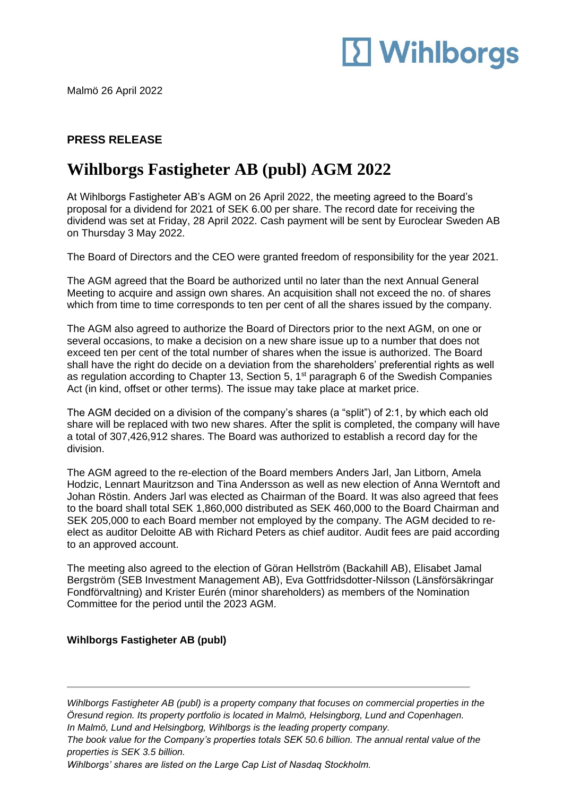# **12 Wihlborgs**

Malmö 26 April 2022

### **PRESS RELEASE**

### **Wihlborgs Fastigheter AB (publ) AGM 2022**

At Wihlborgs Fastigheter AB's AGM on 26 April 2022, the meeting agreed to the Board's proposal for a dividend for 2021 of SEK 6.00 per share. The record date for receiving the dividend was set at Friday, 28 April 2022. Cash payment will be sent by Euroclear Sweden AB on Thursday 3 May 2022.

The Board of Directors and the CEO were granted freedom of responsibility for the year 2021.

The AGM agreed that the Board be authorized until no later than the next Annual General Meeting to acquire and assign own shares. An acquisition shall not exceed the no. of shares which from time to time corresponds to ten per cent of all the shares issued by the company.

The AGM also agreed to authorize the Board of Directors prior to the next AGM, on one or several occasions, to make a decision on a new share issue up to a number that does not exceed ten per cent of the total number of shares when the issue is authorized. The Board shall have the right do decide on a deviation from the shareholders' preferential rights as well as regulation according to Chapter 13, Section 5, 1<sup>st</sup> paragraph 6 of the Swedish Companies Act (in kind, offset or other terms). The issue may take place at market price.

The AGM decided on a division of the company's shares (a "split") of 2:1, by which each old share will be replaced with two new shares. After the split is completed, the company will have a total of 307,426,912 shares. The Board was authorized to establish a record day for the division.

The AGM agreed to the re-election of the Board members Anders Jarl, Jan Litborn, Amela Hodzic, Lennart Mauritzson and Tina Andersson as well as new election of Anna Werntoft and Johan Röstin. Anders Jarl was elected as Chairman of the Board. It was also agreed that fees to the board shall total SEK 1,860,000 distributed as SEK 460,000 to the Board Chairman and SEK 205,000 to each Board member not employed by the company. The AGM decided to reelect as auditor Deloitte AB with Richard Peters as chief auditor. Audit fees are paid according to an approved account.

The meeting also agreed to the election of Göran Hellström (Backahill AB), Elisabet Jamal Bergström (SEB Investment Management AB), Eva Gottfridsdotter-Nilsson (Länsförsäkringar Fondförvaltning) and Krister Eurén (minor shareholders) as members of the Nomination Committee for the period until the 2023 AGM.

#### **Wihlborgs Fastigheter AB (publ)**

*Wihlborgs Fastigheter AB (publ) is a property company that focuses on commercial properties in the Öresund region. Its property portfolio is located in Malmö, Helsingborg, Lund and Copenhagen. In Malmö, Lund and Helsingborg, Wihlborgs is the leading property company.* 

*The book value for the Company's properties totals SEK 50.6 billion. The annual rental value of the properties is SEK 3.5 billion.*

*Wihlborgs' shares are listed on the Large Cap List of Nasdaq Stockholm.*